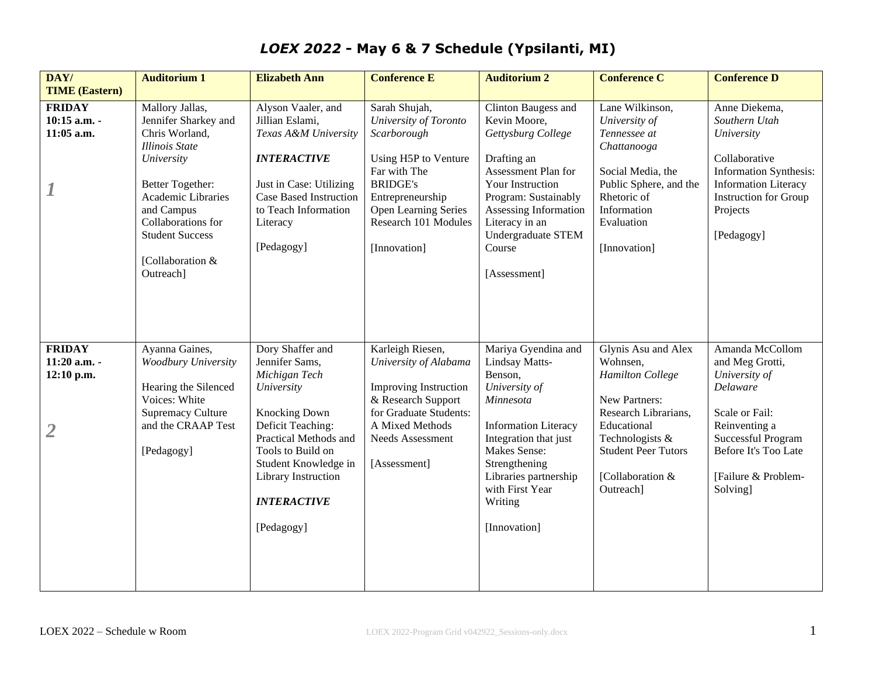| DAY/<br><b>TIME (Eastern)</b>                                   | <b>Auditorium 1</b>                                                                                                                                                                                                                       | <b>Elizabeth Ann</b>                                                                                                                                                                                                                     | <b>Conference E</b>                                                                                                                                                                                  | <b>Auditorium 2</b>                                                                                                                                                                                                                            | <b>Conference C</b>                                                                                                                                                                                  | <b>Conference D</b>                                                                                                                                                                        |
|-----------------------------------------------------------------|-------------------------------------------------------------------------------------------------------------------------------------------------------------------------------------------------------------------------------------------|------------------------------------------------------------------------------------------------------------------------------------------------------------------------------------------------------------------------------------------|------------------------------------------------------------------------------------------------------------------------------------------------------------------------------------------------------|------------------------------------------------------------------------------------------------------------------------------------------------------------------------------------------------------------------------------------------------|------------------------------------------------------------------------------------------------------------------------------------------------------------------------------------------------------|--------------------------------------------------------------------------------------------------------------------------------------------------------------------------------------------|
| <b>FRIDAY</b><br>10:15 a.m. -<br>11:05 a.m.<br>$\boldsymbol{I}$ | Mallory Jallas,<br>Jennifer Sharkey and<br>Chris Worland,<br><b>Illinois</b> State<br>University<br>Better Together:<br>Academic Libraries<br>and Campus<br>Collaborations for<br><b>Student Success</b><br>[Collaboration &<br>Outreach] | Alyson Vaaler, and<br>Jillian Eslami,<br>Texas A&M University<br><b>INTERACTIVE</b><br>Just in Case: Utilizing<br><b>Case Based Instruction</b><br>to Teach Information<br>Literacy<br>[Pedagogy]                                        | Sarah Shujah,<br>University of Toronto<br>Scarborough<br>Using H5P to Venture<br>Far with The<br><b>BRIDGE's</b><br>Entrepreneurship<br>Open Learning Series<br>Research 101 Modules<br>[Innovation] | Clinton Baugess and<br>Kevin Moore,<br>Gettysburg College<br>Drafting an<br>Assessment Plan for<br>Your Instruction<br>Program: Sustainably<br>Assessing Information<br>Literacy in an<br>Undergraduate STEM<br>Course<br>[Assessment]         | Lane Wilkinson,<br>University of<br>Tennessee at<br>Chattanooga<br>Social Media, the<br>Public Sphere, and the<br>Rhetoric of<br>Information<br>Evaluation<br>[Innovation]                           | Anne Diekema,<br>Southern Utah<br>University<br>Collaborative<br><b>Information Synthesis:</b><br><b>Information Literacy</b><br>Instruction for Group<br>Projects<br>[Pedagogy]           |
| <b>FRIDAY</b><br>11:20 a.m. -<br>12:10 p.m.<br>$\overline{2}$   | Ayanna Gaines,<br>Woodbury University<br>Hearing the Silenced<br>Voices: White<br><b>Supremacy Culture</b><br>and the CRAAP Test<br>[Pedagogy]                                                                                            | Dory Shaffer and<br>Jennifer Sams,<br>Michigan Tech<br>University<br>Knocking Down<br>Deficit Teaching:<br>Practical Methods and<br>Tools to Build on<br>Student Knowledge in<br>Library Instruction<br><b>INTERACTIVE</b><br>[Pedagogy] | Karleigh Riesen,<br>University of Alabama<br><b>Improving Instruction</b><br>& Research Support<br>for Graduate Students:<br>A Mixed Methods<br>Needs Assessment<br>[Assessment]                     | Mariya Gyendina and<br>Lindsay Matts-<br>Benson,<br>University of<br>Minnesota<br><b>Information Literacy</b><br>Integration that just<br>Makes Sense:<br>Strengthening<br>Libraries partnership<br>with First Year<br>Writing<br>[Innovation] | Glynis Asu and Alex<br>Wohnsen,<br><b>Hamilton College</b><br>New Partners:<br>Research Librarians,<br>Educational<br>Technologists &<br><b>Student Peer Tutors</b><br>[Collaboration &<br>Outreach] | Amanda McCollom<br>and Meg Grotti,<br>University of<br>Delaware<br>Scale or Fail:<br>Reinventing a<br><b>Successful Program</b><br>Before It's Too Late<br>[Failure & Problem-<br>Solving] |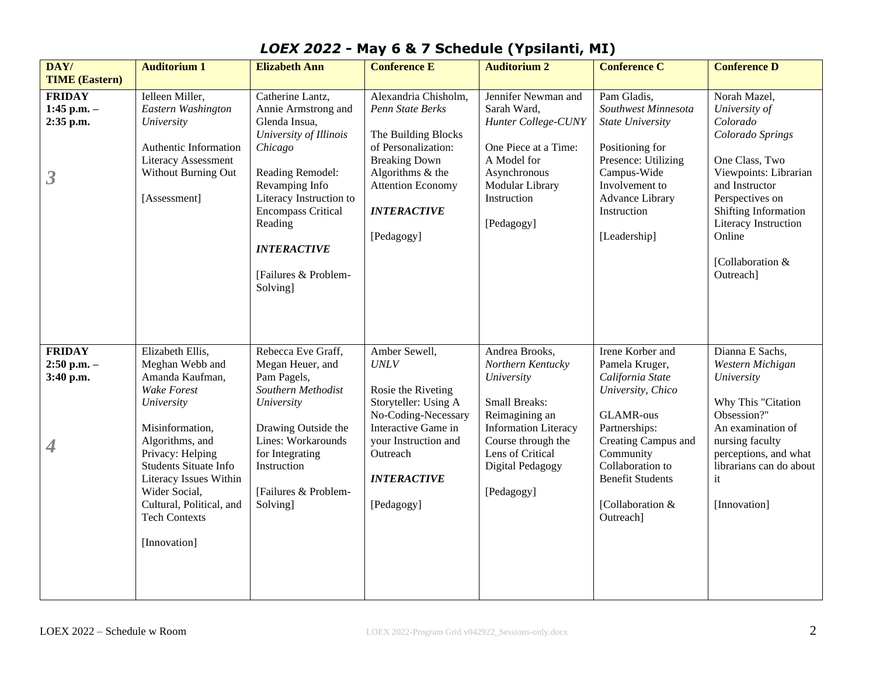| DAY/                                                                | <b>Auditorium 1</b>                                                                                                                                                                                                                                                                   | <b>Elizabeth Ann</b>                                                                                                                                                                                                                                             | <b>Conference E</b>                                                                                                                                                                                | <b>Auditorium 2</b>                                                                                                                                                                                    | <b>Conference C</b>                                                                                                                                                                                                                  | <b>Conference D</b>                                                                                                                                                                                                                      |
|---------------------------------------------------------------------|---------------------------------------------------------------------------------------------------------------------------------------------------------------------------------------------------------------------------------------------------------------------------------------|------------------------------------------------------------------------------------------------------------------------------------------------------------------------------------------------------------------------------------------------------------------|----------------------------------------------------------------------------------------------------------------------------------------------------------------------------------------------------|--------------------------------------------------------------------------------------------------------------------------------------------------------------------------------------------------------|--------------------------------------------------------------------------------------------------------------------------------------------------------------------------------------------------------------------------------------|------------------------------------------------------------------------------------------------------------------------------------------------------------------------------------------------------------------------------------------|
| <b>TIME (Eastern)</b>                                               |                                                                                                                                                                                                                                                                                       |                                                                                                                                                                                                                                                                  |                                                                                                                                                                                                    |                                                                                                                                                                                                        |                                                                                                                                                                                                                                      |                                                                                                                                                                                                                                          |
| <b>FRIDAY</b><br>1:45 p.m. $-$<br>2:35 p.m.<br>$\boldsymbol{\beta}$ | Ielleen Miller,<br>Eastern Washington<br>University<br>Authentic Information<br><b>Literacy Assessment</b><br>Without Burning Out<br>[Assessment]                                                                                                                                     | Catherine Lantz,<br>Annie Armstrong and<br>Glenda Insua,<br>University of Illinois<br>Chicago<br>Reading Remodel:<br>Revamping Info<br>Literacy Instruction to<br><b>Encompass Critical</b><br>Reading<br><b>INTERACTIVE</b><br>[Failures & Problem-<br>Solving] | Alexandria Chisholm,<br>Penn State Berks<br>The Building Blocks<br>of Personalization:<br><b>Breaking Down</b><br>Algorithms & the<br><b>Attention Economy</b><br><b>INTERACTIVE</b><br>[Pedagogy] | Jennifer Newman and<br>Sarah Ward,<br>Hunter College-CUNY<br>One Piece at a Time:<br>A Model for<br>Asynchronous<br>Modular Library<br>Instruction<br>[Pedagogy]                                       | Pam Gladis,<br>Southwest Minnesota<br><b>State University</b><br>Positioning for<br>Presence: Utilizing<br>Campus-Wide<br>Involvement to<br><b>Advance Library</b><br>Instruction<br>[Leadership]                                    | Norah Mazel,<br>University of<br>Colorado<br>Colorado Springs<br>One Class, Two<br>Viewpoints: Librarian<br>and Instructor<br>Perspectives on<br>Shifting Information<br>Literacy Instruction<br>Online<br>[Collaboration &<br>Outreach] |
| <b>FRIDAY</b><br>$2:50$ p.m. $-$<br>3:40 p.m.<br>4                  | Elizabeth Ellis,<br>Meghan Webb and<br>Amanda Kaufman,<br>Wake Forest<br>University<br>Misinformation,<br>Algorithms, and<br>Privacy: Helping<br>Students Situate Info<br>Literacy Issues Within<br>Wider Social,<br>Cultural, Political, and<br><b>Tech Contexts</b><br>[Innovation] | Rebecca Eve Graff,<br>Megan Heuer, and<br>Pam Pagels,<br>Southern Methodist<br>University<br>Drawing Outside the<br>Lines: Workarounds<br>for Integrating<br>Instruction<br>[Failures & Problem-<br>Solving]                                                     | Amber Sewell,<br><b>UNLV</b><br>Rosie the Riveting<br>Storyteller: Using A<br>No-Coding-Necessary<br>Interactive Game in<br>your Instruction and<br>Outreach<br><b>INTERACTIVE</b><br>[Pedagogy]   | Andrea Brooks,<br>Northern Kentucky<br>University<br><b>Small Breaks:</b><br>Reimagining an<br><b>Information Literacy</b><br>Course through the<br>Lens of Critical<br>Digital Pedagogy<br>[Pedagogy] | Irene Korber and<br>Pamela Kruger,<br>California State<br>University, Chico<br><b>GLAMR-ous</b><br>Partnerships:<br>Creating Campus and<br>Community<br>Collaboration to<br><b>Benefit Students</b><br>[Collaboration &<br>Outreach] | Dianna E Sachs,<br>Western Michigan<br>University<br>Why This "Citation<br>Obsession?"<br>An examination of<br>nursing faculty<br>perceptions, and what<br>librarians can do about<br>it<br>[Innovation]                                 |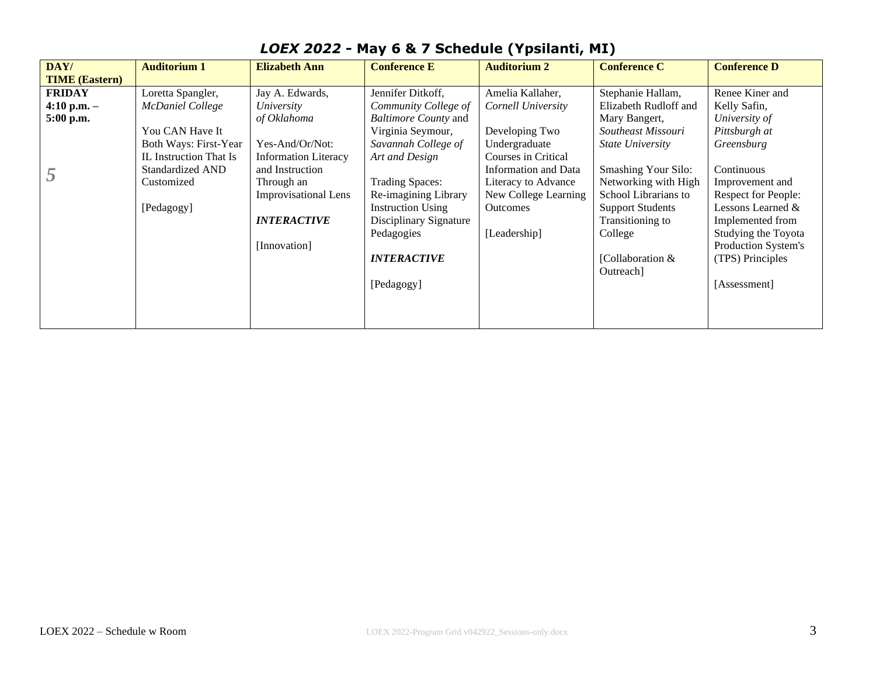| DAY/                  | <b>Auditorium 1</b>    | <b>Elizabeth Ann</b>        | <b>Conference E</b>      | <b>Auditorium 2</b>  | <b>Conference C</b>        | <b>Conference D</b> |
|-----------------------|------------------------|-----------------------------|--------------------------|----------------------|----------------------------|---------------------|
| <b>TIME (Eastern)</b> |                        |                             |                          |                      |                            |                     |
| <b>FRIDAY</b>         | Loretta Spangler,      | Jay A. Edwards,             | Jennifer Ditkoff,        | Amelia Kallaher,     | Stephanie Hallam,          | Renee Kiner and     |
| 4:10 p.m. $-$         | McDaniel College       | University                  | Community College of     | Cornell University   | Elizabeth Rudloff and      | Kelly Safin,        |
| 5:00 p.m.             |                        | of Oklahoma                 | Baltimore County and     |                      | Mary Bangert,              | University of       |
|                       | You CAN Have It        |                             | Virginia Seymour,        | Developing Two       | Southeast Missouri         | Pittsburgh at       |
|                       | Both Ways: First-Year  | Yes-And/Or/Not:             | Savannah College of      | Undergraduate        | <b>State University</b>    | Greensburg          |
|                       | IL Instruction That Is | <b>Information Literacy</b> | Art and Design           | Courses in Critical  |                            |                     |
|                       | Standardized AND       | and Instruction             |                          | Information and Data | <b>Smashing Your Silo:</b> | Continuous          |
|                       | Customized             | Through an                  | <b>Trading Spaces:</b>   | Literacy to Advance  | Networking with High       | Improvement and     |
|                       |                        | <b>Improvisational Lens</b> | Re-imagining Library     | New College Learning | School Librarians to       | Respect for People: |
|                       | [Pedagogy]             |                             | <b>Instruction Using</b> | <b>Outcomes</b>      | <b>Support Students</b>    | Lessons Learned &   |
|                       |                        | <b>INTERACTIVE</b>          | Disciplinary Signature   |                      | Transitioning to           | Implemented from    |
|                       |                        |                             | Pedagogies               | [Leadership]         | College                    | Studying the Toyota |
|                       |                        | [Innovation]                |                          |                      |                            | Production System's |
|                       |                        |                             | <b>INTERACTIVE</b>       |                      | [Collaboration $&$         | (TPS) Principles    |
|                       |                        |                             |                          |                      | Outreach]                  |                     |
|                       |                        |                             | [Pedagogy]               |                      |                            | [Assessment]        |
|                       |                        |                             |                          |                      |                            |                     |
|                       |                        |                             |                          |                      |                            |                     |
|                       |                        |                             |                          |                      |                            |                     |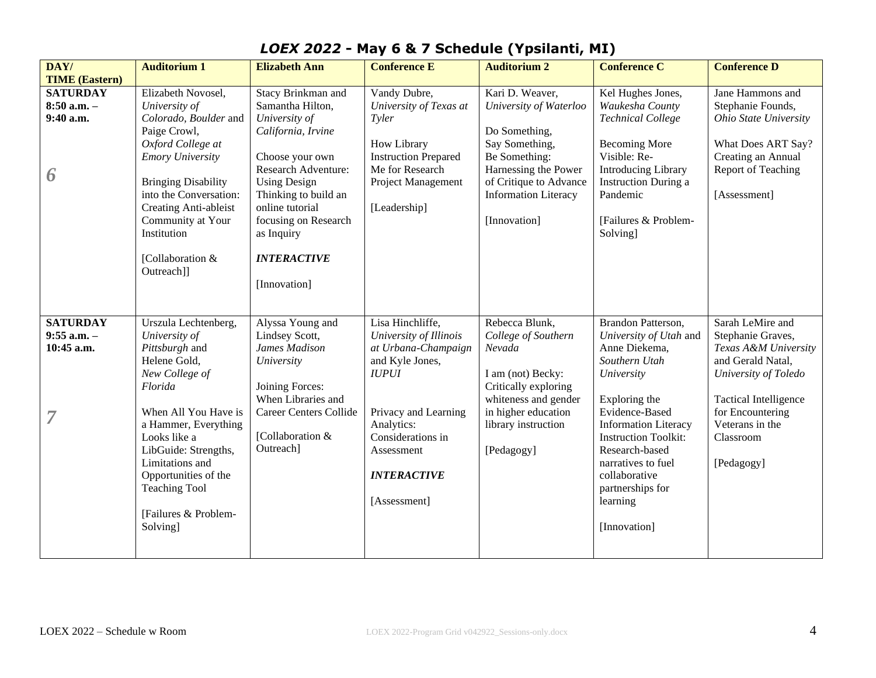| DAY/                  | <b>Auditorium 1</b>        | <b>Elizabeth Ann</b>                              | <b>Conference E</b>                            | <b>Auditorium 2</b>                            | <b>Conference C</b>                                       | <b>Conference D</b>          |
|-----------------------|----------------------------|---------------------------------------------------|------------------------------------------------|------------------------------------------------|-----------------------------------------------------------|------------------------------|
| <b>TIME (Eastern)</b> |                            |                                                   |                                                |                                                |                                                           |                              |
| <b>SATURDAY</b>       | Elizabeth Novosel,         | Stacy Brinkman and                                | Vandy Dubre,                                   | Kari D. Weaver,                                | Kel Hughes Jones,                                         | Jane Hammons and             |
| $8:50$ a.m. $-$       | University of              | Samantha Hilton,                                  | University of Texas at                         | University of Waterloo                         | Waukesha County                                           | Stephanie Founds,            |
| 9:40 a.m.             | Colorado, Boulder and      | University of                                     | Tyler                                          |                                                | <b>Technical College</b>                                  | Ohio State University        |
|                       | Paige Crowl,               | California, Irvine                                |                                                | Do Something,                                  |                                                           |                              |
|                       | Oxford College at          |                                                   | How Library                                    | Say Something,                                 | <b>Becoming More</b>                                      | What Does ART Say?           |
|                       | <b>Emory University</b>    | Choose your own                                   | <b>Instruction Prepared</b><br>Me for Research | Be Something:                                  | Visible: Re-                                              | Creating an Annual           |
| 6                     | <b>Bringing Disability</b> | <b>Research Adventure:</b><br><b>Using Design</b> | Project Management                             | Harnessing the Power<br>of Critique to Advance | <b>Introducing Library</b><br><b>Instruction During a</b> | Report of Teaching           |
|                       | into the Conversation:     | Thinking to build an                              |                                                | <b>Information Literacy</b>                    | Pandemic                                                  | [Assessment]                 |
|                       | Creating Anti-ableist      | online tutorial                                   | [Leadership]                                   |                                                |                                                           |                              |
|                       | Community at Your          | focusing on Research                              |                                                | [Innovation]                                   | [Failures & Problem-                                      |                              |
|                       | Institution                | as Inquiry                                        |                                                |                                                | Solving]                                                  |                              |
|                       |                            |                                                   |                                                |                                                |                                                           |                              |
|                       | [Collaboration &           | <b>INTERACTIVE</b>                                |                                                |                                                |                                                           |                              |
|                       | Outreach]]                 |                                                   |                                                |                                                |                                                           |                              |
|                       |                            | [Innovation]                                      |                                                |                                                |                                                           |                              |
|                       |                            |                                                   |                                                |                                                |                                                           |                              |
|                       |                            |                                                   |                                                |                                                |                                                           |                              |
| <b>SATURDAY</b>       | Urszula Lechtenberg,       | Alyssa Young and                                  | Lisa Hinchliffe,                               | Rebecca Blunk,                                 | Brandon Patterson,                                        | Sarah LeMire and             |
| $9:55$ a.m. -         | University of              | Lindsey Scott,                                    | University of Illinois                         | College of Southern                            | University of Utah and                                    | Stephanie Graves,            |
| 10:45 a.m.            | Pittsburgh and             | James Madison                                     | at Urbana-Champaign                            | Nevada                                         | Anne Diekema,                                             | Texas A&M University         |
|                       | Helene Gold,               | University                                        | and Kyle Jones,                                |                                                | Southern Utah                                             | and Gerald Natal,            |
|                       | New College of<br>Florida  | Joining Forces:                                   | <b>IUPUI</b>                                   | I am (not) Becky:                              | University                                                | University of Toledo         |
|                       |                            | When Libraries and                                |                                                | Critically exploring<br>whiteness and gender   | Exploring the                                             | <b>Tactical Intelligence</b> |
|                       | When All You Have is       | <b>Career Centers Collide</b>                     | Privacy and Learning                           | in higher education                            | Evidence-Based                                            | for Encountering             |
|                       | a Hammer, Everything       |                                                   | Analytics:                                     | library instruction                            | <b>Information Literacy</b>                               | Veterans in the              |
|                       | Looks like a               | [Collaboration &                                  | Considerations in                              |                                                | <b>Instruction Toolkit:</b>                               | Classroom                    |
|                       | LibGuide: Strengths,       | Outreach]                                         | Assessment                                     | [Pedagogy]                                     | Research-based                                            |                              |
|                       | Limitations and            |                                                   |                                                |                                                | narratives to fuel                                        | [Pedagogy]                   |
|                       | Opportunities of the       |                                                   | <b>INTERACTIVE</b>                             |                                                | collaborative                                             |                              |
|                       | <b>Teaching Tool</b>       |                                                   |                                                |                                                | partnerships for                                          |                              |
|                       |                            |                                                   | [Assessment]                                   |                                                | learning                                                  |                              |
|                       | [Failures & Problem-       |                                                   |                                                |                                                |                                                           |                              |
|                       | Solving]                   |                                                   |                                                |                                                | [Innovation]                                              |                              |
|                       |                            |                                                   |                                                |                                                |                                                           |                              |
|                       |                            |                                                   |                                                |                                                |                                                           |                              |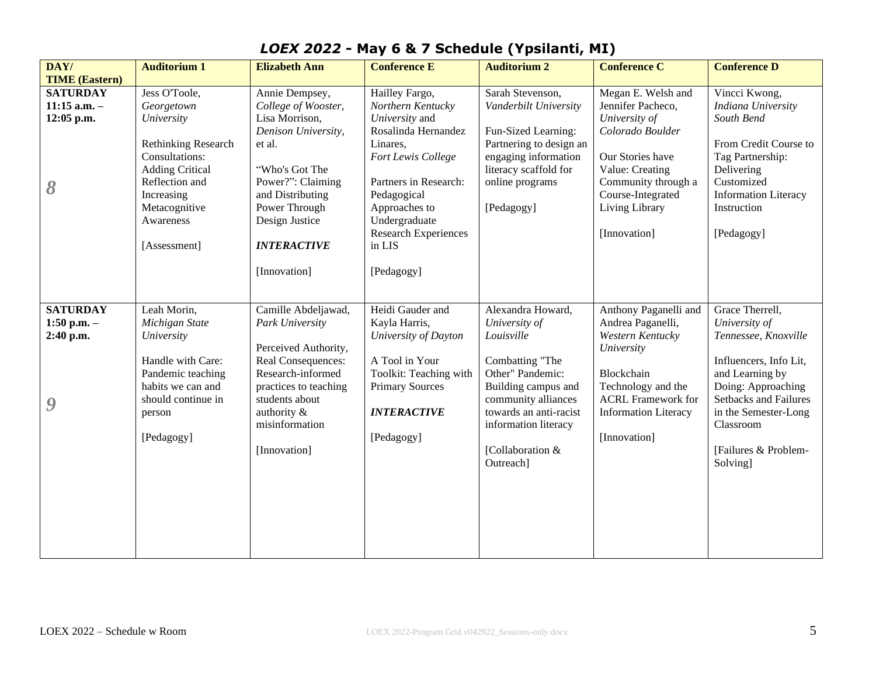| DAY/                  | <b>Auditorium 1</b>        | <b>Elizabeth Ann</b>  | <b>Conference E</b>         | <b>Auditorium 2</b>     | <b>Conference C</b>         | <b>Conference D</b>          |
|-----------------------|----------------------------|-----------------------|-----------------------------|-------------------------|-----------------------------|------------------------------|
| <b>TIME (Eastern)</b> |                            |                       |                             |                         |                             |                              |
| <b>SATURDAY</b>       | Jess O'Toole,              | Annie Dempsey,        | Hailley Fargo,              | Sarah Stevenson,        | Megan E. Welsh and          | Vincci Kwong,                |
| $11:15$ a.m. -        | Georgetown                 | College of Wooster,   | Northern Kentucky           | Vanderbilt University   | Jennifer Pacheco,           | Indiana University           |
| 12:05 p.m.            | University                 | Lisa Morrison,        | University and              |                         | University of               | South Bend                   |
|                       |                            | Denison University,   | Rosalinda Hernandez         | Fun-Sized Learning:     | Colorado Boulder            |                              |
|                       | <b>Rethinking Research</b> | et al.                | Linares,                    | Partnering to design an |                             | From Credit Course to        |
|                       | Consultations:             |                       | Fort Lewis College          | engaging information    | Our Stories have            | Tag Partnership:             |
|                       | <b>Adding Critical</b>     | "Who's Got The        |                             | literacy scaffold for   | Value: Creating             | Delivering                   |
| 8                     | Reflection and             | Power?": Claiming     | Partners in Research:       | online programs         | Community through a         | Customized                   |
|                       | Increasing                 | and Distributing      | Pedagogical                 |                         | Course-Integrated           | <b>Information Literacy</b>  |
|                       | Metacognitive              | Power Through         | Approaches to               | [Pedagogy]              | Living Library              | Instruction                  |
|                       | Awareness                  | Design Justice        | Undergraduate               |                         |                             |                              |
|                       |                            |                       | <b>Research Experiences</b> |                         | [Innovation]                | [Pedagogy]                   |
|                       | [Assessment]               | <b>INTERACTIVE</b>    | in LIS                      |                         |                             |                              |
|                       |                            |                       |                             |                         |                             |                              |
|                       |                            | [Innovation]          | [Pedagogy]                  |                         |                             |                              |
|                       |                            |                       |                             |                         |                             |                              |
|                       |                            |                       |                             |                         |                             |                              |
| <b>SATURDAY</b>       | Leah Morin,                | Camille Abdeljawad,   | Heidi Gauder and            | Alexandra Howard,       | Anthony Paganelli and       | Grace Therrell,              |
| 1:50 p.m. $-$         | Michigan State             | Park University       | Kayla Harris,               | University of           | Andrea Paganelli,           | University of                |
| 2:40 p.m.             | University                 |                       | University of Dayton        | Louisville              | Western Kentucky            | Tennessee, Knoxville         |
|                       |                            | Perceived Authority,  |                             |                         | University                  |                              |
|                       | Handle with Care:          | Real Consequences:    | A Tool in Your              | Combatting "The         |                             | Influencers, Info Lit,       |
|                       | Pandemic teaching          | Research-informed     | Toolkit: Teaching with      | Other" Pandemic:        | Blockchain                  | and Learning by              |
|                       | habits we can and          | practices to teaching | <b>Primary Sources</b>      | Building campus and     | Technology and the          | Doing: Approaching           |
| 9                     | should continue in         | students about        |                             | community alliances     | <b>ACRL</b> Framework for   | <b>Setbacks and Failures</b> |
|                       | person                     | authority &           | <b>INTERACTIVE</b>          | towards an anti-racist  | <b>Information Literacy</b> | in the Semester-Long         |
|                       |                            | misinformation        |                             | information literacy    |                             | Classroom                    |
|                       | [Pedagogy]                 |                       | [Pedagogy]                  |                         | [Innovation]                |                              |
|                       |                            | [Innovation]          |                             | [Collaboration &        |                             | [Failures & Problem-         |
|                       |                            |                       |                             | Outreach]               |                             | Solving]                     |
|                       |                            |                       |                             |                         |                             |                              |
|                       |                            |                       |                             |                         |                             |                              |
|                       |                            |                       |                             |                         |                             |                              |
|                       |                            |                       |                             |                         |                             |                              |
|                       |                            |                       |                             |                         |                             |                              |
|                       |                            |                       |                             |                         |                             |                              |
|                       |                            |                       |                             |                         |                             |                              |